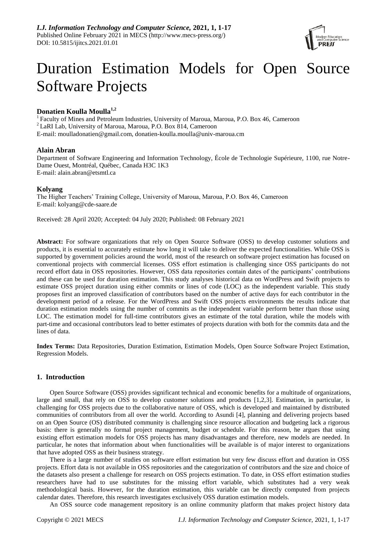

# Duration Estimation Models for Open Source Software Projects

# **Donatien Koulla Moulla1,2**

<sup>1</sup>Faculty of Mines and Petroleum Industries, University of Maroua, Maroua, P.O. Box 46, Cameroon <sup>2</sup>LaRI Lab, University of Maroua, Maroua, P.O. Box 814, Cameroon E-mail: [moulladonatien@gmail.com,](mailto:moulladonatien@gmail.com) [donatien-koulla.moulla@univ-maroua.cm](mailto:donatien-koulla.moulla@univ-maroua.cm)

# **Alain Abran**

Department of Software Engineering and Information Technology, École de Technologie Supérieure, 1100, rue Notre-Dame Ouest, Montréal, Québec, Canada H3C 1K3 E-mail: [alain.abran@etsmtl.ca](mailto:alain.abran@etsmtl.ca)

# **Kolyang**

The Higher Teachers' Training College, University of Maroua, Maroua, P.O. Box 46, Cameroon E-mail: [kolyang@cde-saare.de](mailto:kolyang@cde-saare.de)

Received: 28 April 2020; Accepted: 04 July 2020; Published: 08 February 2021

**Abstract:** For software organizations that rely on Open Source Software (OSS) to develop customer solutions and products, it is essential to accurately estimate how long it will take to deliver the expected functionalities. While OSS is supported by government policies around the world, most of the research on software project estimation has focused on conventional projects with commercial licenses. OSS effort estimation is challenging since OSS participants do not record effort data in OSS repositories. However, OSS data repositories contain dates of the participants' contributions and these can be used for duration estimation. This study analyses historical data on WordPress and Swift projects to estimate OSS project duration using either commits or lines of code (LOC) as the independent variable. This study proposes first an improved classification of contributors based on the number of active days for each contributor in the development period of a release. For the WordPress and Swift OSS projects environments the results indicate that duration estimation models using the number of commits as the independent variable perform better than those using LOC. The estimation model for full-time contributors gives an estimate of the total duration, while the models with part-time and occasional contributors lead to better estimates of projects duration with both for the commits data and the lines of data.

**Index Terms:** Data Repositories, Duration Estimation, Estimation Models, Open Source Software Project Estimation, Regression Models.

# **1. Introduction**

Open Source Software (OSS) provides significant technical and economic benefits for a multitude of organizations, large and small, that rely on OSS to develop customer solutions and products [1,2,3]. Estimation, in particular, is challenging for OSS projects due to the collaborative nature of OSS, which is developed and maintained by distributed communities of contributors from all over the world. According to Asundi [4], planning and delivering projects based on an Open Source (OS) distributed community is challenging since resource allocation and budgeting lack a rigorous basis: there is generally no formal project management, budget or schedule. For this reason, he argues that using existing effort estimation models for OSS projects has many disadvantages and therefore, new models are needed. In particular, he notes that information about when functionalities will be available is of major interest to organizations that have adopted OSS as their business strategy.

There is a large number of studies on software effort estimation but very few discuss effort and duration in OSS projects. Effort data is not available in OSS repositories and the categorization of contributors and the size and choice of the datasets also present a challenge for research on OSS projects estimation. To date, in OSS effort estimation studies researchers have had to use substitutes for the missing effort variable, which substitutes had a very weak methodological basis. However, for the duration estimation, this variable can be directly computed from projects calendar dates. Therefore, this research investigates exclusively OSS duration estimation models.

An OSS source code management repository is an online community platform that makes project history data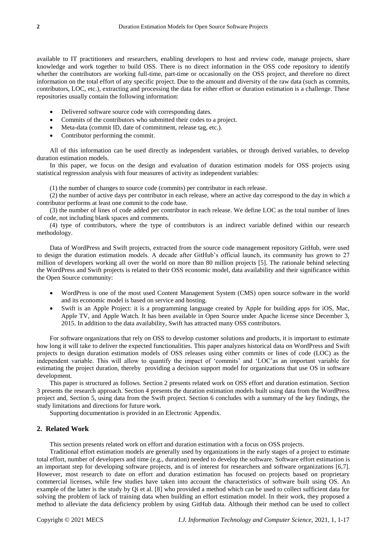available to IT practitioners and researchers, enabling developers to host and review code, manage projects, share knowledge and work together to build OSS. There is no direct information in the OSS code repository to identify whether the contributors are working full-time, part-time or occasionally on the OSS project, and therefore no direct information on the total effort of any specific project. Due to the amount and diversity of the raw data (such as commits, contributors, LOC, etc.), extracting and processing the data for either effort or duration estimation is a challenge. These repositories usually contain the following information:

- Delivered software source code with corresponding dates.
- Commits of the contributors who submitted their codes to a project.
- Meta-data (commit ID, date of commitment, release tag, etc.).
- Contributor performing the commit.

All of this information can be used directly as independent variables, or through derived variables, to develop duration estimation models.

In this paper, we focus on the design and evaluation of duration estimation models for OSS projects using statistical regression analysis with four measures of activity as independent variables:

(1) the number of changes to source code (commits) per contributor in each release.

(2) the number of active days per contributor in each release, where an active day correspond to the day in which a contributor performs at least one commit to the code base.

(3) the number of lines of code added per contributor in each release. We define LOC as the total number of lines of code, not including blank spaces and comments.

(4) type of contributors, where the type of contributors is an indirect variable defined within our research methodology.

Data of WordPress and Swift projects, extracted from the source code management repository GitHub, were used to design the duration estimation models. A decade after GitHub's official launch, its community has grown to 27 million of developers working all over the world on more than 80 million projects [5]. The rationale behind selecting the WordPress and Swift projects is related to their OSS economic model, data availability and their significance within the Open Source community:

- WordPress is one of the most used Content Management System (CMS) open source software in the world and its economic model is based on service and hosting.
- Swift is an Apple Project: it is a programming language created by Apple for building apps for iOS, Mac, Apple TV, and Apple Watch. It has been available in Open Source under Apache license since December 3, 2015. In addition to the data availability, Swift has attracted many OSS contributors.

For software organizations that rely on OSS to develop customer solutions and products, it is important to estimate how long it will take to deliver the expected functionalities. This paper analyzes historical data on WordPress and Swift projects to design duration estimation models of OSS releases using either commits or lines of code (LOC) as the independent variable. This will allow to quantify the impact of 'commits' and 'LOC'as an important variable for estimating the project duration, thereby providing a decision support model for organizations that use OS in software development.

This paper is structured as follows. Section 2 presents related work on OSS effort and duration estimation. Section 3 presents the research approach. Section 4 presents the duration estimation models built using data from the WordPress project and, Section 5, using data from the Swift project. Section 6 concludes with a summary of the key findings, the study limitations and directions for future work.

Supporting documentation is provided in an Electronic Appendix.

# **2. Related Work**

This section presents related work on effort and duration estimation with a focus on OSS projects.

Traditional effort estimation models are generally used by organizations in the early stages of a project to estimate total effort, number of developers and time (e.g., duration) needed to develop the software. Software effort estimation is an important step for developing software projects, and is of interest for researchers and software organizations [6,7]. However, most research to date on effort and duration estimation has focused on projects based on proprietary commercial licenses, while few studies have taken into account the characteristics of software built using OS. An example of the latter is the study by Qi et al. [8] who provided a method which can be used to collect sufficient data for solving the problem of lack of training data when building an effort estimation model. In their work, they proposed a method to alleviate the data deficiency problem by using GitHub data. Although their method can be used to collect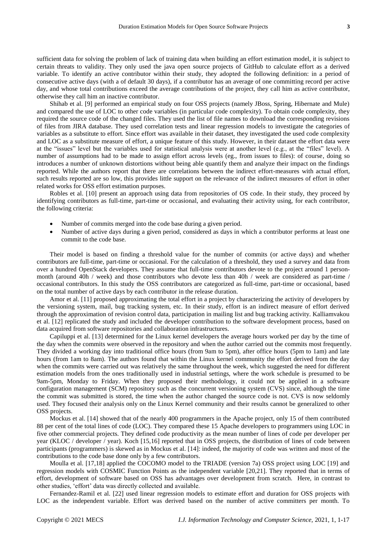sufficient data for solving the problem of lack of training data when building an effort estimation model, it is subject to certain threats to validity. They only used the java open source projects of GitHub to calculate effort as a derived variable. To identify an active contributor within their study, they adopted the following definition: in a period of consecutive active days (with a of default 30 days), if a contributor has an average of one committing record per active day, and whose total contributions exceed the average contributions of the project, they call him as active contributor, otherwise they call him an inactive contributor.

Shihab et al. [9] performed an empirical study on four OSS projects (namely JBoss, Spring, Hibernate and Mule) and compared the use of LOC to other code variables (in particular code complexity). To obtain code complexity, they required the source code of the changed files. They used the list of file names to download the corresponding revisions of files from JIRA database. They used correlation tests and linear regression models to investigate the categories of variables as a substitute to effort. Since effort was available in their dataset, they investigated the used code complexity and LOC as a substitute measure of effort, a unique feature of this study. However, in their dataset the effort data were at the "issues" level but the variables used for statistical analysis were at another level (e.g., at the "files" level). A number of assumptions had to be made to assign effort across levels (eg., from issues to files): of course, doing so introduces a number of unknown distortions without being able quantify them and analyze their impact on the findings reported. While the authors report that there are correlations between the indirect effort-measures with actual effort, such results reported are so low, this provides little support on the relevance of the indirect measures of effort in other related works for OSS effort estimation purposes.

Robles et al. [10] present an approach using data from repositories of OS code. In their study, they proceed by identifying contributors as full-time, part-time or occasional, and evaluating their activity using, for each contributor, the following criteria:

- Number of commits merged into the code base during a given period.
- Number of active days during a given period, considered as days in which a contributor performs at least one commit to the code base.

Their model is based on finding a threshold value for the number of commits (or active days) and whether contributors are full-time, part-time or occasional. For the calculation of a threshold, they used a survey and data from over a hundred OpenStack developers. They assume that full-time contributors devote to the project around 1 personmonth (around 40h / week) and those contributors who devote less than 40h / week are considered as part-time / occasional contributors. In this study the OSS contributors are categorized as full-time, part-time or occasional, based on the total number of active days by each contributor in the release duration.

Amor et al. [11] proposed approximating the total effort in a project by characterizing the activity of developers by the versioning system, mail, bug tracking system, etc. In their study, effort is an indirect measure of effort derived through the approximation of revision control data, participation in mailing list and bug tracking activity. Kalliamvakou et al. [12] replicated the study and included the developer contribution to the software development process, based on data acquired from software repositories and collaboration infrastructures.

Capiluppi et al. [13] determined for the Linux kernel developers the average hours worked per day by the time of the day when the commits were observed in the repository and when the author carried out the commits most frequently. They divided a working day into traditional office hours (from 9am to 5pm), after office hours (5pm to 1am) and late hours (from 1am to 8am). The authors found that within the Linux kernel community the effort derived from the day when the commits were carried out was relatively the same throughout the week, which suggested the need for different estimation models from the ones traditionally used in industrial settings, where the work schedule is presumed to be 9am-5pm, Monday to Friday. When they proposed their methodology, it could not be applied in a software configuration management (SCM) repository such as the concurrent versioning system (CVS) since, although the time the commit was submitted is stored, the time when the author changed the source code is not. CVS is now seldomly used. They focused their analysis only on the Linux Kernel community and their results cannot be generalized to other OSS projects.

Mockus et al. [14] showed that of the nearly 400 programmers in the Apache project, only 15 of them contributed 88 per cent of the total lines of code (LOC). They compared these 15 Apache developers to programmers using LOC in five other commercial projects. They defined code productivity as the mean number of lines of code per developer per year (KLOC / developer / year). Koch [15,16] reported that in OSS projects, the distribution of lines of code between participants (programmers) is skewed as in Mockus et al. [14]: indeed, the majority of code was written and most of the contributions to the code base done only by a few contributors.

Moulla et al. [17,18] applied the COCOMO model to the TRIADE (version 7a) OSS project using LOC [19] and regression models with COSMIC Function Points as the independent variable [20,21]. They reported that in terms of effort, development of software based on OSS has advantages over development from scratch. Here, in contrast to other studies, 'effort' data was directly collected and available.

Fernandez-Ramil et al. [22] used linear regression models to estimate effort and duration for OSS projects with LOC as the independent variable. Effort was derived based on the number of active committers per month. To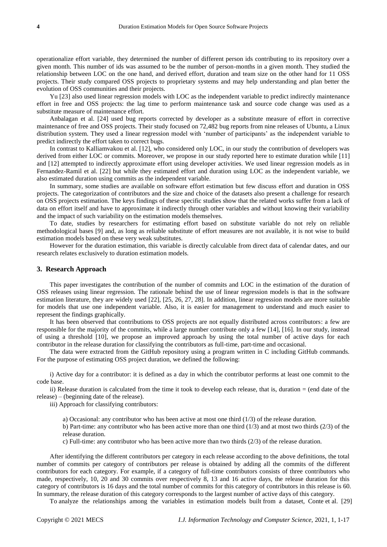operationalize effort variable, they determined the number of different person ids contributing to its repository over a given month. This number of ids was assumed to be the number of person-months in a given month. They studied the relationship between LOC on the one hand, and derived effort, duration and team size on the other hand for 11 OSS projects. Their study compared OSS projects to proprietary systems and may help understanding and plan better the evolution of OSS communities and their projects.

Yu [23] also used linear regression models with LOC as the independent variable to predict indirectly maintenance effort in free and OSS projects: the lag time to perform maintenance task and source code change was used as a substitute measure of maintenance effort.

Anbalagan et al. [24] used bug reports corrected by developer as a substitute measure of effort in corrective maintenance of free and OSS projects. Their study focused on 72,482 bug reports from nine releases of Ubuntu, a Linux distribution system. They used a linear regression model with 'number of participants' as the independent variable to predict indirectly the effort taken to correct bugs.

In contrast to Kalliamvakou et al. [12], who considered only LOC, in our study the contribution of developers was derived from either LOC or commits. Moreover, we propose in our study reported here to estimate duration while [11] and [12] attempted to indirectly approximate effort using developer activities. We used linear regression models as in Fernandez-Ramil et al. [22] but while they estimated effort and duration using LOC as the independent variable, we also estimated duration using commits as the independent variable.

In summary, some studies are available on software effort estimation but few discuss effort and duration in OSS projects. The categorization of contributors and the size and choice of the datasets also present a challenge for research on OSS projects estimation. The keys findings of these specific studies show that the related works suffer from a lack of data on effort itself and have to approximate it indirectly through other variables and without knowing their variability and the impact of such variability on the estimation models themselves.

To date, studies by researchers for estimating effort based on substitute variable do not rely on reliable methodological bases [9] and, as long as reliable substitute of effort measures are not available, it is not wise to build estimation models based on these very weak substitutes.

However for the duration estimation, this variable is directly calculable from direct data of calendar dates, and our research relates exclusively to duration estimation models.

#### **3. Research Approach**

This paper investigates the contribution of the number of commits and LOC in the estimation of the duration of OSS releases using linear regression. The rationale behind the use of linear regression models is that in the software estimation literature, they are widely used [22], [25, 26, 27, 28]. In addition, linear regression models are more suitable for models that use one independent variable. Also, it is easier for management to understand and much easier to represent the findings graphically.

It has been observed that contributions to OSS projects are not equally distributed across contributors: a few are responsible for the majority of the commits, while a large number contribute only a few [14], [16]. In our study, instead of using a threshold [10], we propose an improved approach by using the total number of active days for each contributor in the release duration for classifying the contributors as full-time, part-time and occasional.

The data were extracted from the GitHub repository using a program written in C including GitHub commands. For the purpose of estimating OSS project duration, we defined the following:

i) Active day for a contributor: it is defined as a day in which the contributor performs at least one commit to the code base.

ii) Release duration is calculated from the time it took to develop each release, that is, duration = (end date of the release) – (beginning date of the release).

iii) Approach for classifying contributors:

a) Occasional: any contributor who has been active at most one third (1/3) of the release duration.

b) Part-time: any contributor who has been active more than one third  $(1/3)$  and at most two thirds  $(2/3)$  of the release duration.

c) Full-time: any contributor who has been active more than two thirds (2/3) of the release duration.

After identifying the different contributors per category in each release according to the above definitions, the total number of commits per category of contributors per release is obtained by adding all the commits of the different contributors for each category. For example, if a category of full-time contributors consists of three contributors who made, respectively, 10, 20 and 30 commits over respectively 8, 13 and 16 active days, the release duration for this category of contributors is 16 days and the total number of commits for this category of contributors in this release is 60. In summary, the release duration of this category corresponds to the largest number of active days of this category.

To analyze the relationships among the variables in estimation models built from a dataset, Conte et al. [29]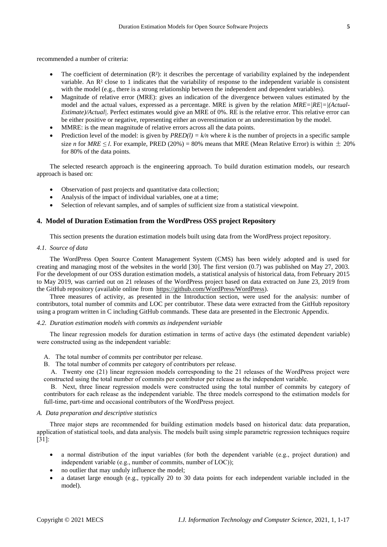recommended a number of criteria:

- The coefficient of determination (R 3: it describes the percentage of variability explained by the independent variable. An R² close to 1 indicates that the variability of response to the independent variable is consistent with the model (e.g., there is a strong relationship between the independent and dependent variables).
- Magnitude of relative error (MRE): gives an indication of the divergence between values estimated by the model and the actual values, expressed as a percentage. MRE is given by the relation *MRE=|RE|=|(Actual-Estimate)/Actual|*. Perfect estimates would give an MRE of 0%. RE is the relative error. This relative error can be either positive or negative, representing either an overestimation or an underestimation by the model.
- MMRE: is the mean magnitude of relative errors across all the data points.
- Prediction level of the model: is given by  $PRED(l) = k/n$  where *k* is the number of projects in a specific sample size *n* for *MRE*  $\leq$  *l*. For example, PRED (20%) = 80% means that MRE (Mean Relative Error) is within  $\pm$  20% for 80% of the data points.

The selected research approach is the engineering approach. To build duration estimation models, our research approach is based on:

- Observation of past projects and quantitative data collection;
- Analysis of the impact of individual variables, one at a time;
- Selection of relevant samples, and of samples of sufficient size from a statistical viewpoint.

# **4. Model of Duration Estimation from the WordPress OSS project Repository**

This section presents the duration estimation models built using data from the WordPress project repository.

# *4.1. Source of data*

The WordPress Open Source Content Management System (CMS) has been widely adopted and is used for creating and managing most of the websites in the world [30]. The first version (0.7) was published on May 27, 2003. For the development of our OSS duration estimation models, a statistical analysis of historical data, from February 2015 to May 2019, was carried out on 21 releases of the WordPress project based on data extracted on June 23, 2019 from the GitHub repository (available online from [https://github.com/WordPress/WordPress\)](https://github.com/WordPress/WordPress).

Three measures of activity, as presented in the Introduction section, were used for the analysis: number of contributors, total number of commits and LOC per contributor. These data were extracted from the GitHub repository using a program written in C including GitHub commands. These data are presented in the Electronic Appendix.

# *4.2. Duration estimation models with commits as independent variable*

The linear regression models for duration estimation in terms of active days (the estimated dependent variable) were constructed using as the independent variable:

- A. The total number of commits per contributor per release.
- B. The total number of commits per category of contributors per release.

A. Twenty one (21) linear regression models corresponding to the 21 releases of the WordPress project were constructed using the total number of commits per contributor per release as the independent variable.

B. Next, three linear regression models were constructed using the total number of commits by category of contributors for each release as the independent variable. The three models correspond to the estimation models for full-time, part-time and occasional contributors of the WordPress project.

### *A. Data preparation and descriptive statistics*

Three major steps are recommended for building estimation models based on historical data: data preparation, application of statistical tools, and data analysis. The models built using simple parametric regression techniques require [31]:

- a normal distribution of the input variables (for both the dependent variable (e.g., project duration) and independent variable (e.g., number of commits, number of LOC));
- no outlier that may unduly influence the model;
- a dataset large enough (e.g., typically 20 to 30 data points for each independent variable included in the model).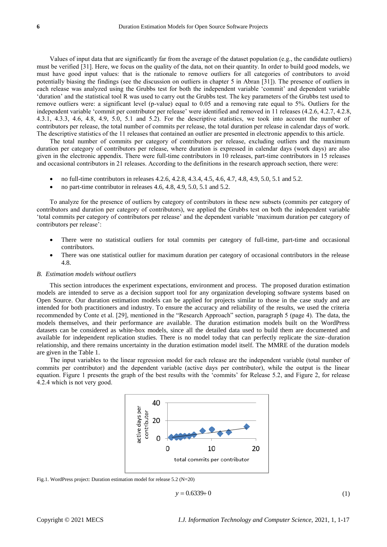Values of input data that are significantly far from the average of the dataset population (e.g., the candidate outliers) must be verified [31]. Here, we focus on the quality of the data, not on their quantity. In order to build good models, we must have good input values: that is the rationale to remove outliers for all categories of contributors to avoid potentially biasing the findings (see the discussion on outliers in chapter 5 in Abran [31]). The presence of outliers in each release was analyzed using the Grubbs test for both the independent variable 'commit' and dependent variable 'duration' and the statistical tool R was used to carry out the Grubbs test. The key parameters of the Grubbs test used to remove outliers were: a significant level (p-value) equal to 0.05 and a removing rate equal to 5%. Outliers for the independent variable 'commit per contributor per release' were identified and removed in 11 releases (4.2.6, 4.2.7, 4.2.8, 4.3.1, 4.3.3, 4.6, 4.8, 4.9, 5.0, 5.1 and 5.2). For the descriptive statistics, we took into account the number of contributors per release, the total number of commits per release, the total duration per release in calendar days of work. The descriptive statistics of the 11 releases that contained an outlier are presented in electronic appendix to this article.

The total number of commits per category of contributors per release, excluding outliers and the maximum duration per category of contributors per release, where duration is expressed in calendar days (work days) are also given in the electronic appendix. There were full-time contributors in 10 releases, part-time contributors in 15 releases and occasional contributors in 21 releases. According to the definitions in the research approach section, there were:

- no full-time contributors in releases 4.2.6, 4.2.8, 4.3.4, 4.5, 4.6, 4.7, 4.8, 4.9, 5.0, 5.1 and 5.2.
- no part-time contributor in releases 4.6, 4.8, 4.9, 5.0, 5.1 and 5.2.

To analyze for the presence of outliers by category of contributors in these new subsets (commits per category of contributors and duration per category of contributors), we applied the Grubbs test on both the independent variable 'total commits per category of contributors per release' and the dependent variable 'maximum duration per category of contributors per release':

- There were no statistical outliers for total commits per category of full-time, part-time and occasional contributors.
- There was one statistical outlier for maximum duration per category of occasional contributors in the release 4.8.

# *B. Estimation models without outliers*

This section introduces the experiment expectations, environment and process. The proposed duration estimation models are intended to serve as a decision support tool for any organization developing software systems based on Open Source. Our duration estimation models can be applied for projects similar to those in the case study and are intended for both practitioners and industry. To ensure the accuracy and reliability of the results, we used the criteria recommended by Conte et al. [29], mentioned in the "Research Approach" section, paragraph 5 (page 4). The data, the models themselves, and their performance are available. The duration estimation models built on the WordPress datasets can be considered as white-box models, since all the detailed data used to build them are documented and available for independent replication studies. There is no model today that can perfectly replicate the size–duration relationship, and there remains uncertainty in the duration estimation model itself. The MMRE of the duration models are given in the Table 1.

The input variables to the linear regression model for each release are the independent variable (total number of commits per contributor) and the dependent variable (active days per contributor), while the output is the linear equation. Figure 1 presents the graph of the best results with the 'commits' for Release 5.2, and Figure 2, for release 4.2.4 which is not very good.



Fig.1. WordPress project: Duration estimation model for release 5.2 (N=20)

$$
y = 0.6339 + 0 \tag{1}
$$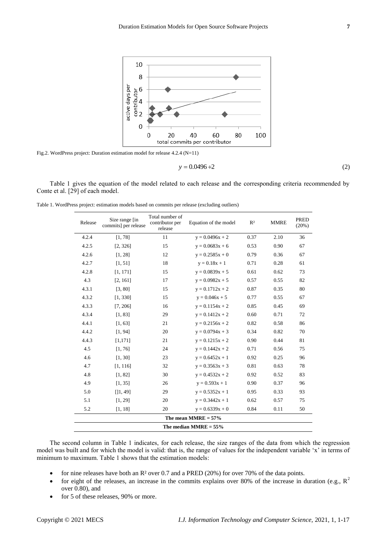

Fig.2. WordPress project: Duration estimation model for release 4.2.4 (N=11)

$$
y = 0.0496 + 2 \tag{2}
$$

Table 1 gives the equation of the model related to each release and the corresponding criteria recommended by Conte et al. [29] of each model.

Table 1. WordPress project: estimation models based on commits per release (excluding outliers)

| Release | Total number of<br>Size range [in<br>contributor per<br>commits] per release<br>release |    | Equation of the model    | R <sup>2</sup> | <b>MMRE</b> | <b>PRED</b><br>(20%) |  |
|---------|-----------------------------------------------------------------------------------------|----|--------------------------|----------------|-------------|----------------------|--|
| 4.2.4   | [1, 78]                                                                                 | 11 | $y = 0.0496x + 2$        | 0.37           | 2.10        | 36                   |  |
| 4.2.5   | [2, 326]                                                                                | 15 | $y = 0.0683x + 6$        | 0.53           | 0.90        | 67                   |  |
| 4.2.6   | [1, 28]                                                                                 | 12 | $y = 0.2585x + 0$        | 0.79           | 0.36        | 67                   |  |
| 4.2.7   | [1, 51]                                                                                 | 18 | $y = 0.18x + 1$          | 0.71           | 0.28        | 61                   |  |
| 4.2.8   | [1, 171]                                                                                | 15 | $y = 0.0839x + 5$        | 0.61           | 0.62        | 73                   |  |
| 4.3     | [2, 161]                                                                                | 17 | $y = 0.0982x + 5$        | 0.57           | 0.55        | 82                   |  |
| 4.3.1   | [3, 80]                                                                                 | 15 | $y = 0.1712x + 2$        | 0.87           | 0.35        | 80                   |  |
| 4.3.2   | [1, 330]                                                                                | 15 | $y = 0.046x + 5$         | 0.77           | 0.55        | 67                   |  |
| 4.3.3   | [7, 206]                                                                                | 16 | $y = 0.1154x + 2$        | 0.85           | 0.45        | 69                   |  |
| 4.3.4   | [1, 83]                                                                                 | 29 | $y = 0.1412x + 2$        | 0.60           | 0.71        | 72                   |  |
| 4.4.1   | [1, 63]                                                                                 | 21 | $y = 0.2156x + 2$        | 0.82           | 0.58        | 86                   |  |
| 4.4.2   | [1, 94]                                                                                 | 20 | $y = 0.0794x + 3$        | 0.34           | 0.82        | 70                   |  |
| 4.4.3   | [1, 171]                                                                                | 21 | $y = 0.1215x + 2$        | 0.90           | 0.44        | 81                   |  |
| 4.5     | [1, 76]                                                                                 | 24 | $y = 0.1442x + 2$        | 0.71           | 0.56        | 75                   |  |
| 4.6     | [1, 30]                                                                                 | 23 | $y = 0.6452x + 1$        | 0.92           | 0.25        | 96                   |  |
| 4.7     | [1, 116]                                                                                | 32 | $y = 0.3563x + 3$        | 0.81           | 0.63        | 78                   |  |
| 4.8     | [1, 82]                                                                                 | 30 | $y = 0.4532x + 2$        | 0.92           | 0.52        | 83                   |  |
| 4.9     | [1, 35]                                                                                 | 26 | $y = 0.593x + 1$         | 0.90           | 0.37        | 96                   |  |
| 5.0     | [1, 49]                                                                                 | 29 | $y = 0.5352x + 1$        | 0.95           | 0.33        | 93                   |  |
| 5.1     | [1, 29]                                                                                 | 20 | $y = 0.3442x + 1$        | 0.62           | 0.57        | 75                   |  |
| 5.2     | [1, 18]                                                                                 | 20 | $y = 0.6339x + 0$        | 0.84           | 0.11        | 50                   |  |
|         |                                                                                         |    | The mean MMRE $= 57\%$   |                |             |                      |  |
|         |                                                                                         |    | The median MMRE $= 55\%$ |                |             |                      |  |

The second column in Table 1 indicates, for each release, the size ranges of the data from which the regression model was built and for which the model is valid: that is, the range of values for the independent variable 'x' in terms of minimum to maximum. Table 1 shows that the estimation models:

- for nine releases have both an R<sup>2</sup> over 0.7 and a PRED (20%) for over 70% of the data points.
- for eight of the releases, an increase in the commits explains over 80% of the increase in duration (e.g.,  $R^2$ over 0.80), and
- for 5 of these releases, 90% or more.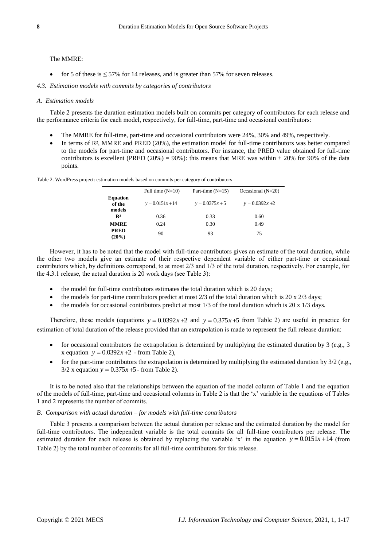## The MMRE:

- for 5 of these is  $\leq$  57% for 14 releases, and is greater than 57% for seven releases.
- *4.3. Estimation models with commits by categories of contributors*

Table 2. WordPress project: estimation models based on commits per category of contributors

#### *A. Estimation models*

Table 2 presents the duration estimation models built on commits per category of contributors for each release and the performance criteria for each model, respectively, for full-time, part-time and occasional contributors:

- The MMRE for full-time, part-time and occasional contributors were 24%, 30% and 49%, respectively.
- In terms of R², MMRE and PRED (20%), the estimation model for full-time contributors was better compared to the models for part-time and occasional contributors. For instance, the PRED value obtained for full-time contributors is excellent (PRED (20%) = 90%): this means that MRE was within  $\pm$  20% for 90% of the data points.

|                                     | Full time $(N=10)$ | Part-time $(N=15)$ | Occasional $(N=20)$ |
|-------------------------------------|--------------------|--------------------|---------------------|
| <b>Equation</b><br>of the<br>models | $y = 0.0151x + 14$ | $y = 0.0375x + 5$  | $y = 0.0392x + 2$   |
| $\mathbb{R}^2$                      | 0.36               | 0.33               | 0.60                |
| <b>MMRE</b>                         | 0.24               | 0.30               | 0.49                |
| <b>PRED</b><br>$(20\%)$             | 90                 | 93                 | 75                  |

However, it has to be noted that the model with full-time contributors gives an estimate of the total duration, while the other two models give an estimate of their respective dependent variable of either part-time or occasional contributors which, by definitions correspond, to at most 2/3 and 1/3 of the total duration, respectively. For example, for the 4.3.1 release, the actual duration is 20 work days (see Table 3):

- the model for full-time contributors estimates the total duration which is 20 days;
- the models for part-time contributors predict at most  $2/3$  of the total duration which is  $20 \times 2/3$  days;
- the models for occasional contributors predict at most 1/3 of the total duration which is 20 x 1/3 days.

Therefore, these models (equations  $y = 0.0392x + 2$  and  $y = 0.375x + 5$  from Table 2) are useful in practice for estimation of total duration of the release provided that an extrapolation is made to represent the full release duration:

- for occasional contributors the extrapolation is determined by multiplying the estimated duration by 3 (e.g., 3 *x* equation  $y = 0.0392x + 2$  - from Table 2),
- for the part-time contributors the extrapolation is determined by multiplying the estimated duration by 3/2 (e.g.,  $3/2$  x equation  $y = 0.375x + 5$  - from Table 2).

It is to be noted also that the relationships between the equation of the model column of Table 1 and the equation of the models of full-time, part-time and occasional columns in Table 2 is that the 'x' variable in the equations of Tables 1 and 2 represents the number of commits.

### *B. Comparison with actual duration – for models with full-time contributors*

Table 3 presents a comparison between the actual duration per release and the estimated duration by the model for full-time contributors. The independent variable is the total commits for all full-time contributors per release. The estimated duration for each release is obtained by replacing the variable 'x' in the equation  $y = 0.0151x + 14$  (from Table 2) by the total number of commits for all full-time contributors for this release.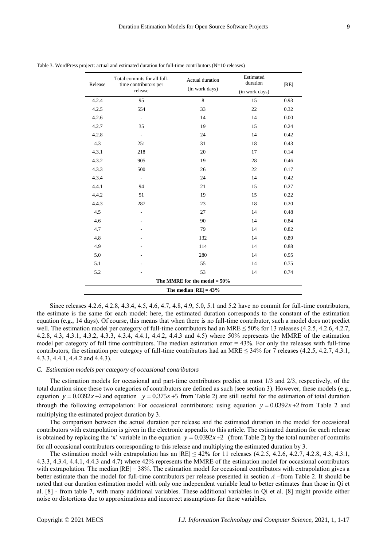| Release | Total commits for all full-<br>time contributors per<br>release | Actual duration<br>(in work days) | Estimated<br>duration | RE   |  |  |  |  |  |  |
|---------|-----------------------------------------------------------------|-----------------------------------|-----------------------|------|--|--|--|--|--|--|
|         |                                                                 |                                   | (in work days)        |      |  |  |  |  |  |  |
| 4.2.4   | 95                                                              | $\,8\,$                           | 15                    | 0.93 |  |  |  |  |  |  |
| 4.2.5   | 554                                                             | 33                                | 22                    | 0.32 |  |  |  |  |  |  |
| 4.2.6   | $\overline{\phantom{0}}$                                        | 14                                | 14                    | 0.00 |  |  |  |  |  |  |
| 4.2.7   | 35                                                              | 19                                | 15                    | 0.24 |  |  |  |  |  |  |
| 4.2.8   | $\overline{\phantom{a}}$                                        | 24                                | 14                    | 0.42 |  |  |  |  |  |  |
| 4.3     | 251                                                             | 31                                | 18                    | 0.43 |  |  |  |  |  |  |
| 4.3.1   | 218                                                             | 20                                | 17                    | 0.14 |  |  |  |  |  |  |
| 4.3.2   | 905                                                             | 19                                | 28                    | 0.46 |  |  |  |  |  |  |
| 4.3.3   | 500                                                             | 26                                | 22                    | 0.17 |  |  |  |  |  |  |
| 4.3.4   | $\overline{\phantom{a}}$                                        | 24                                | 14                    | 0.42 |  |  |  |  |  |  |
| 4.4.1   | 94                                                              | 21                                | 15                    | 0.27 |  |  |  |  |  |  |
| 4.4.2   | 51                                                              | 19                                | 15                    | 0.22 |  |  |  |  |  |  |
| 4.4.3   | 287                                                             | 23                                | 18                    | 0.20 |  |  |  |  |  |  |
| 4.5     |                                                                 | 27                                | 14                    | 0.48 |  |  |  |  |  |  |
| 4.6     |                                                                 | 90                                | 14                    | 0.84 |  |  |  |  |  |  |
| 4.7     |                                                                 | 79                                | 14                    | 0.82 |  |  |  |  |  |  |
| 4.8     |                                                                 | 132                               | 14                    | 0.89 |  |  |  |  |  |  |
| 4.9     |                                                                 | 114                               | 14                    | 0.88 |  |  |  |  |  |  |
| 5.0     |                                                                 | 280                               | 14                    | 0.95 |  |  |  |  |  |  |
| 5.1     |                                                                 | 55                                | 14                    | 0.75 |  |  |  |  |  |  |
| 5.2     |                                                                 | 53                                | 14                    | 0.74 |  |  |  |  |  |  |
|         |                                                                 | The MMRE for the model $= 50\%$   |                       |      |  |  |  |  |  |  |
|         | The median $ RE  = 43\%$                                        |                                   |                       |      |  |  |  |  |  |  |

Table 3. WordPress project: actual and estimated duration for full-time contributors (N=10 releases)

Since releases 4.2.6, 4.2.8, 4.3.4, 4.5, 4.6, 4.7, 4.8, 4.9, 5.0, 5.1 and 5.2 have no commit for full-time contributors, the estimate is the same for each model: here, the estimated duration corresponds to the constant of the estimation equation (e.g., 14 days). Of course, this means that when there is no full-time contributor, such a model does not predict well. The estimation model per category of full-time contributors had an MRE  $\leq$  50% for 13 releases (4.2.5, 4.2.6, 4.2.7, 4.2.8, 4.3, 4.3.1, 4.3.2, 4.3.3, 4.3.4, 4.4.1, 4.4.2, 4.4.3 and 4.5) where 50% represents the MMRE of the estimation model per category of full time contributors. The median estimation error = 43%. For only the releases with full-time contributors, the estimation per category of full-time contributors had an MRE  $\leq$  34% for 7 releases (4.2.5, 4.2.7, 4.3.1, 4.3.3, 4.4.1, 4.4.2 and 4.4.3).

# *C. Estimation models per category of occasional contributors*

The estimation models for occasional and part-time contributors predict at most 1/3 and 2/3, respectively, of the total duration since these two categories of contributors are defined as such (see section 3). However, these models (e.g., equation  $y = 0.0392x + 2$  and equation  $y = 0.375x + 5$  from Table 2) are still useful for the estimation of total duration through the following extrapolation: For occasional contributors: using equation  $y = 0.0392x + 2$  from Table 2 and multiplying the estimated project duration by 3.

The comparison between the actual duration per release and the estimated duration in the model for occasional contributors with extrapolation is given in the electronic appendix to this article. The estimated duration for each release is obtained by replacing the 'x' variable in the equation  $y = 0.0392x + 2$  (from Table 2) by the total number of commits for all occasional contributors corresponding to this release and multiplying the estimated duration by 3.

The estimation model with extrapolation has an  $|RE| \le 42\%$  for 11 releases (4.2.5, 4.2.6, 4.2.7, 4.2.8, 4.3, 4.3.1, 4.3.3, 4.3.4, 4.4.1, 4.4.3 and 4.7) where 42% represents the MMRE of the estimation model for occasional contributors with extrapolation. The median  $|RE| = 38\%$ . The estimation model for occasional contributors with extrapolation gives a better estimate than the model for full-time contributors per release presented in section *A* –from Table 2. It should be noted that our duration estimation model with only one independent variable lead to better estimates than those in Qi et al. [8] - from table 7, with many additional variables. These additional variables in Qi et al. [8] might provide either noise or distortions due to approximations and incorrect assumptions for these variables.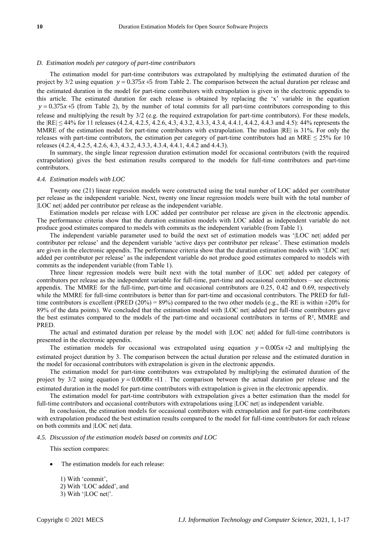## *D. Estimation models per category of part-time contributors*

The estimation model for part-time contributors was extrapolated by multiplying the estimated duration of the project by  $3/2$  using equation  $y = 0.375x + 5$  from Table 2. The comparison between the actual duration per release and the estimated duration in the model for part-time contributors with extrapolation is given in the electronic appendix to this article. The estimated duration for each release is obtained by replacing the 'x' variable in the equation  $y = 0.375x + 5$  (from Table 2), by the number of total commits for all part-time contributors corresponding to this release and multiplying the result by 3/2 (e.g. the required extrapolation for part-time contributors). For these models, the |RE| ≤ 44% for 11 releases (4.2.4, 4.2.5, 4.2.6, 4.3, 4.3.2, 4.3.3, 4.3.4, 4.4.1, 4.4.2, 4.4.3 and 4.5): 44% represents the MMRE of the estimation model for part-time contributors with extrapolation. The median |RE| is 31%. For only the releases with part-time contributors, the estimation per category of part-time contributors had an MRE  $\leq$  25% for 10 releases (4.2.4, 4.2.5, 4.2.6, 4.3, 4.3.2, 4.3.3, 4.3.4, 4.4.1, 4.4.2 and 4.4.3).

In summary, the single linear regression duration estimation model for occasional contributors (with the required extrapolation) gives the best estimation results compared to the models for full-time contributors and part-time contributors.

#### *4.4. Estimation models with LOC*

Twenty one (21) linear regression models were constructed using the total number of LOC added per contributor per release as the independent variable. Next, twenty one linear regression models were built with the total number of |LOC net| added per contributor per release as the independent variable.

Estimation models per release with LOC added per contributor per release are given in the electronic appendix. The performance criteria show that the duration estimation models with LOC added as independent variable do not produce good estimates compared to models with commits as the independent variable (from Table 1).

The independent variable parameter used to build the next set of estimation models was '|LOC net| added per contributor per release' and the dependent variable 'active days per contributor per release'. These estimation models are given in the electronic appendix. The performance criteria show that the duration estimation models with '|LOC net| added per contributor per release' as the independent variable do not produce good estimates compared to models with commits as the independent variable (from Table 1).

Three linear regression models were built next with the total number of |LOC net| added per category of contributors per release as the independent variable for full-time, part-time and occasional contributors – see electronic appendix. The MMRE for the full-time, part-time and occasional contributors are 0.25, 0.42 and 0.69, respectively while the MMRE for full-time contributors is better than for part-time and occasional contributors. The PRED for fulltime contributors is excellent (PRED (20%) = 89%) compared to the two other models (e.g., the RE is within  $\pm 20\%$  for 89% of the data points). We concluded that the estimation model with |LOC net| added per full-time contributors gave the best estimates compared to the models of the part-time and occasional contributors in terms of R², MMRE and PRED.

The actual and estimated duration per release by the model with |LOC net| added for full-time contributors is presented in the electronic appendix.

The estimation models for occasional was extrapolated using equation  $y = 0.005x + 2$  and multiplying the estimated project duration by 3. The comparison between the actual duration per release and the estimated duration in the model for occasional contributors with extrapolation is given in the electronic appendix.

The estimation model for part-time contributors was extrapolated by multiplying the estimated duration of the project by  $3/2$  using equation  $y = 0.0008x + 11$ . The comparison between the actual duration per release and the estimated duration in the model for part-time contributors with extrapolation is given in the electronic appendix.

The estimation model for part-time contributors with extrapolation gives a better estimation than the model for full-time contributors and occasional contributors with extrapolations using [LOC net] as independent variable.

In conclusion, the estimation models for occasional contributors with extrapolation and for part-time contributors with extrapolation produced the best estimation results compared to the model for full-time contributors for each release on both commits and |LOC net| data.

#### *4.5. Discussion of the estimation models based on commits and LOC*

This section compares:

- The estimation models for each release:
	- 1) With 'commit', 2) With 'LOC added', and 3) With '|LOC net|'.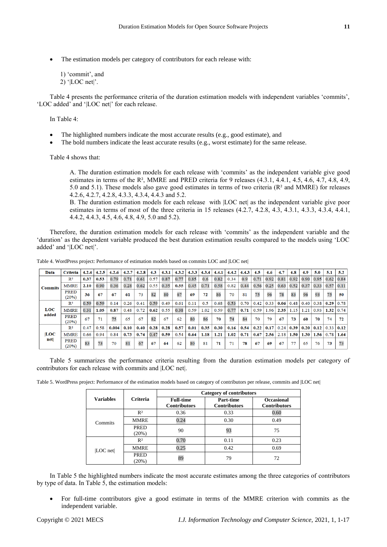The estimation models per category of contributors for each release with:

1) 'commit', and 2) '|LOC net|'.

Table 4 presents the performance criteria of the duration estimation models with independent variables 'commits', 'LOC added' and '|LOC net|' for each release.

In Table 4:

- The highlighted numbers indicate the most accurate results (e.g., good estimate), and
- The bold numbers indicate the least accurate results (e.g., worst estimate) for the same release.

Table 4 shows that:

A. The duration estimation models for each release with 'commits' as the independent variable give good estimates in terms of the R², MMRE and PRED criteria for 9 releases (4.3.1, 4.4.1, 4.5, 4.6, 4.7, 4.8, 4.9, 5.0 and 5.1). These models also gave good estimates in terms of two criteria  $(R<sup>2</sup>$  and MMRE) for releases 4.2.6, 4.2.7, 4.2.8, 4.3.3, 4.3.4, 4.4.3 and 5.2.

B. The duration estimation models for each release with |LOC net| as the independent variable give poor estimates in terms of most of the three criteria in 15 releases (4.2.7, 4.2.8, 4.3, 4.3.1, 4.3.3, 4.3.4, 4.4.1, 4.4.2, 4.4.3, 4.5, 4.6, 4.8, 4.9, 5.0 and 5.2).

Therefore, the duration estimation models for each release with 'commits' as the independent variable and the 'duration' as the dependent variable produced the best duration estimation results compared to the models using 'LOC added' and '|LOC net|'.

| Data           | <b>Criteria</b> | 4.2.4 | 4.2.5 | 4.2.6 | 4.2.7 | 4.2.8 | 4.3  | 4.3.1 | 4.3.2 | 4.3.3 | 4.3.4 | 4.4.1 | 4.4.2 | 4.4.3 | 4.5  | 4.6  | 4.7  | 4.8  | 4.9  | 5.0  | 5.1  | 5.2  |
|----------------|-----------------|-------|-------|-------|-------|-------|------|-------|-------|-------|-------|-------|-------|-------|------|------|------|------|------|------|------|------|
|                | $\mathbb{R}^2$  | 0.37  | 0.53  | 0.79  | 0.71  | 0.61  | 0.57 | 0.87  | 0.77  | 0.85  | 0.6   | 0.82  | 0.34  | 0.9   | 0.71 | 0.92 | 0.81 | 0.92 | 0.90 | 0.95 | 0.62 | 0.84 |
| <b>Commits</b> | <b>MMRE</b>     | 2.10  | 0.90  | 0.36  | 0.28  | 0.62  | 0.55 | 0.35  | 0.55  | 0.45  | 0.71  | 0.58  | 0.82  | 0.44  | 0.56 | 0.25 | 0.63 | 0.52 | 0.37 | 0.33 | 0.57 | 0.11 |
|                | PRED<br>(20%)   | 36    | 67    | 67    | 61    | 73    | 82   | 80    | 67    | 69    | 72    | 86    | 70    | 81    | 75   | 96   | 78   | 83   | 96   | 93   | 75   | 50   |
|                | $\mathbb{R}^2$  | 0.59  | 0.59  | 0.14  | 0.26  | 0.41  | 0.59 | 0.49  | 0.61  | 0.11  | 0.5   | 0.68  | 0.53  | 0.70  | 0.42 | 0.33 | 0.06 | 0.48 | 0.40 | 0.38 | 0.29 | 0.78 |
| <b>LOC</b>     | <b>MMRE</b>     | 0.31  | 1.05  | 0.87  | 0.48  | 0.72  | 0.62 | 0.55  | 0.38  | 0.59  | 1.02  | 0.59  | 0.77  | 0.71  | 0.59 | .96  | 2.35 | 1.15 | 1.21 | 0.93 | 1.32 | 0.74 |
| added          | PRED<br>(20%)   | 67    | 71    | 75    | 65    | 67    | 82   | 67    | 62    | 80    | 86    | 70    | 74    | 84    | 70   | 79   | 67   | 73   | 60   | 70   | 74   | 72   |
|                | $\mathbb{R}^2$  | 0.47  | 0.58  | 0.004 | 0.10  | 0.40  | 0.28 | 0.28  | 0.57  | 0.01  | 0.35  | 0.30  | 0.16  | 0.54  | 0.22 | 0.17 | 0.24 | 0.39 | 0.20 | 0.12 | 0.33 | 0.12 |
| LOC            | <b>MMRE</b>     | 0.66  | 0.94  | 0.84  | 0.73  | 0.74  | 0.47 | 0.59  | 0.54  | 0.64  | 1.18  | 1.21  | 1.02  | 0.71  | 0.67 | 2.56 | 2.18 | 1.50 | 1.30 | 1.56 | 0.78 | 1.64 |
| net            | PRED<br>(20%)   | 83    | 73    | 70    | 81    | 67    | 67   | 64    | 62    | 80    | 81    | 71    | 71    | 78    | 67   | 69   | 67   | 77   | 65   | 76   | 73   | 73   |

Table 4. WordPress project: Performance of estimation models based on commits LOC and |LOC net|

Table 5 summarizes the performance criteria resulting from the duration estimation models per category of contributors for each release with commits and |LOC net|.

Table 5. WordPress project: Performance of the estimation models based on category of contributors per release, commits and |LOC net|

|                    |                 | Category of contributors                |                                  |                                          |  |  |  |  |
|--------------------|-----------------|-----------------------------------------|----------------------------------|------------------------------------------|--|--|--|--|
| <b>Variables</b>   | <b>Criteria</b> | <b>Full-time</b><br><b>Contributors</b> | Part-time<br><b>Contributors</b> | <b>Occasional</b><br><b>Contributors</b> |  |  |  |  |
|                    | R <sup>2</sup>  | 0.36                                    | 0.33                             | 0.60                                     |  |  |  |  |
| Commits            | <b>MMRE</b>     | 0.24                                    | 0.30                             | 0.49                                     |  |  |  |  |
|                    | PRED<br>(20%)   | 90                                      | 93                               | 75                                       |  |  |  |  |
|                    | R <sup>2</sup>  | 0.70                                    | 0.11                             | 0.23                                     |  |  |  |  |
| LOC <sub>net</sub> | MMRE            | 0.25                                    | 0.42                             | 0.69                                     |  |  |  |  |
|                    | PRED<br>(20%)   | 89                                      | 79                               | 72                                       |  |  |  |  |

In Table 5 the highlighted numbers indicate the most accurate estimates among the three categories of contributors by type of data. In Table 5, the estimation models:

 For full-time contributors give a good estimate in terms of the MMRE criterion with commits as the independent variable.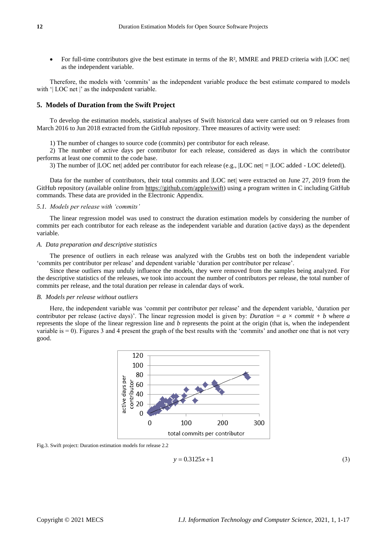For full-time contributors give the best estimate in terms of the R $3$ , MMRE and PRED criteria with [LOC net] as the independent variable.

Therefore, the models with 'commits' as the independent variable produce the best estimate compared to models with '| LOC net |' as the independent variable.

# **5. Models of Duration from the Swift Project**

To develop the estimation models, statistical analyses of Swift historical data were carried out on 9 releases from March 2016 to Jun 2018 extracted from the GitHub repository. Three measures of activity were used:

1) The number of changes to source code (commits) per contributor for each release.

2) The number of active days per contributor for each release, considered as days in which the contributor performs at least one commit to the code base.

3) The number of |LOC net| added per contributor for each release (e.g., |LOC net| = |LOC added - LOC deleted|).

Data for the number of contributors, their total commits and |LOC net| were extracted on June 27, 2019 from the GitHub repository (available online from [https://github.com/apple/swift\)](https://github.com/apple/swift) using a program written in C including GitHub commands. These data are provided in the Electronic Appendix.

#### *5.1. Models per release with 'commits'*

The linear regression model was used to construct the duration estimation models by considering the number of commits per each contributor for each release as the independent variable and duration (active days) as the dependent variable.

# *A. Data preparation and descriptive statistics*

The presence of outliers in each release was analyzed with the Grubbs test on both the independent variable 'commits per contributor per release' and dependent variable 'duration per contributor per release'.

Since these outliers may unduly influence the models, they were removed from the samples being analyzed. For the descriptive statistics of the releases, we took into account the number of contributors per release, the total number of commits per release, and the total duration per release in calendar days of work.

### *B. Models per release without outliers*

Here, the independent variable was 'commit per contributor per release' and the dependent variable, 'duration per contributor per release (active days)'. The linear regression model is given by: *Duration =*  $a \times commit + b$  where *a* represents the slope of the linear regression line and *b* represents the point at the origin (that is, when the independent variable is  $= 0$ ). Figures 3 and 4 present the graph of the best results with the 'commits' and another one that is not very good.



Fig.3. Swift project: Duration estimation models for release 2.2

$$
y = 0.3125x + 1\tag{3}
$$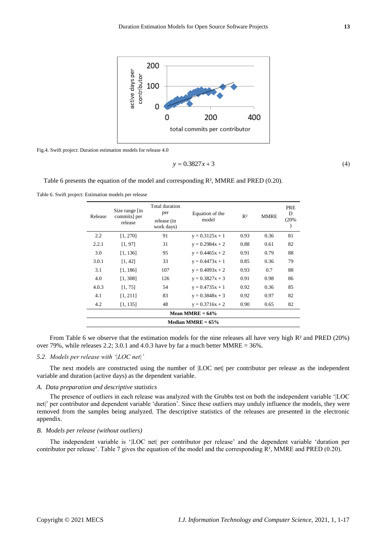

Fig.4. Swift project: Duration estimation models for release 4.0

$$
y = 0.3827x + 3\tag{4}
$$

Table 6 presents the equation of the model and corresponding R², MMRE and PRED (0.20).

Table 6. Swift project: Estimation models per release

| Release | Total duration<br>Size range [in<br>per<br>commits] per<br>release (in<br>release<br>work days) |     | Equation of the<br>model | R <sup>2</sup> | <b>MMRE</b> | <b>PRE</b><br>D<br>(20% |  |  |  |  |
|---------|-------------------------------------------------------------------------------------------------|-----|--------------------------|----------------|-------------|-------------------------|--|--|--|--|
| 2.2     | [1, 270]                                                                                        | 91  | $y = 0.3125x + 1$        | 0.93           | 0.36        | 81                      |  |  |  |  |
| 2.2.1   | [1, 97]                                                                                         | 31  | $y = 0.2984x + 2$        | 0.88           | 0.61        | 82                      |  |  |  |  |
| 3.0     | [1, 136]                                                                                        | 95  | $y = 0.4465x + 2$        | 0.91           | 0.79        | 88                      |  |  |  |  |
| 3.0.1   | [1, 42]                                                                                         | 33  | $y = 0.4473x + 1$        | 0.85           | 0.36        | 79                      |  |  |  |  |
| 3.1     | [1, 186]                                                                                        | 107 | $y = 0.4093x + 2$        | 0.93           | 0.7         | 88                      |  |  |  |  |
| 4.0     | [1, 308]                                                                                        | 126 | $y = 0.3827x + 3$        | 0.91           | 0.98        | 86                      |  |  |  |  |
| 4.0.3   | [1, 75]                                                                                         | 54  | $y = 0.4735x + 1$        | 0.92           | 0.36        | 85                      |  |  |  |  |
| 4.1     | [1, 211]                                                                                        | 83  | $y = 0.3848x + 3$        | 0.92           | 0.97        | 82                      |  |  |  |  |
| 4.2     | [1, 135]                                                                                        | 48  | $y = 0.3716x + 2$        | 0.90           | 0.65        | 82                      |  |  |  |  |
|         | Mean MMRE = $64\%$                                                                              |     |                          |                |             |                         |  |  |  |  |
|         |                                                                                                 |     | Median MMRE = $65\%$     |                |             |                         |  |  |  |  |

From Table 6 we observe that the estimation models for the nine releases all have very high R<sup>2</sup> and PRED (20%) over 79%, while releases 2.2; 3.0.1 and 4.0.3 have by far a much better MMRE = 36%.

# *5.2. Models per release with '|LOC net|'*

The next models are constructed using the number of |LOC net| per contributor per release as the independent variable and duration (active days) as the dependent variable.

# *A. Data preparation and descriptive statistics*

The presence of outliers in each release was analyzed with the Grubbs test on both the independent variable '|LOC net|' per contributor and dependent variable 'duration'. Since these outliers may unduly influence the models, they were removed from the samples being analyzed. The descriptive statistics of the releases are presented in the electronic appendix.

## *B. Models per release (without outliers)*

The independent variable is '|LOC net| per contributor per release' and the dependent variable 'duration per contributor per release'. Table 7 gives the equation of the model and the corresponding R², MMRE and PRED (0.20).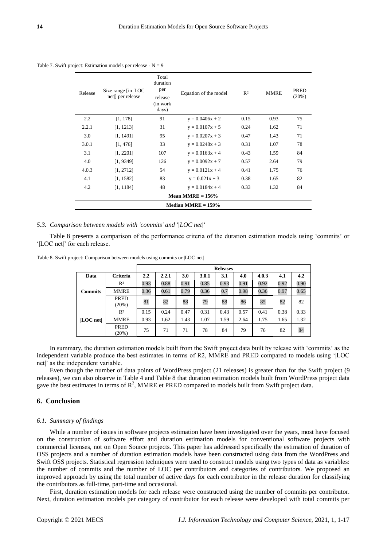Table 7. Swift project: Estimation models per release -  $N = 9$ 

| Release | Size range [in  LOC<br>net ] per release | Total<br>duration<br>per<br>release<br>(in work)<br>days) | Equation of the model | R <sup>2</sup> | <b>MMRE</b> | <b>PRED</b><br>(20%) |  |  |  |  |
|---------|------------------------------------------|-----------------------------------------------------------|-----------------------|----------------|-------------|----------------------|--|--|--|--|
| 2.2     | [1, 178]                                 | 91                                                        | $y = 0.0406x + 2$     | 0.15           | 0.93        | 75                   |  |  |  |  |
| 2.2.1   | [1, 1213]                                | 31                                                        | $y = 0.0107x + 5$     | 0.24           | 1.62        | 71                   |  |  |  |  |
| 3.0     | [1, 1491]                                | 95                                                        | $y = 0.0207x + 3$     | 0.47           | 1.43        | 71                   |  |  |  |  |
| 3.0.1   | [1, 476]                                 | 33                                                        | $y = 0.0248x + 3$     | 0.31           | 1.07        | 78                   |  |  |  |  |
| 3.1     | [1, 2201]                                | 107                                                       | $y = 0.0163x + 4$     | 0.43           | 1.59        | 84                   |  |  |  |  |
| 4.0     | [1, 9349]                                | 126                                                       | $y = 0.0092x + 7$     | 0.57           | 2.64        | 79                   |  |  |  |  |
| 4.0.3   | [1, 2712]                                | 54                                                        | $y = 0.0121x + 4$     | 0.41           | 1.75        | 76                   |  |  |  |  |
| 4.1     | [1, 1582]                                | 83                                                        | $y = 0.021x + 3$      | 0.38           | 1.65        | 82                   |  |  |  |  |
| 4.2     | [1, 1184]                                | 48                                                        | $y = 0.0184x + 4$     | 0.33           | 1.32        | 84                   |  |  |  |  |
|         | Mean MMRE $= 156\%$                      |                                                           |                       |                |             |                      |  |  |  |  |
|         |                                          |                                                           | Median MMRE $= 159\%$ |                |             |                      |  |  |  |  |

# *5.3. Comparison between models with 'commits' and '|LOC net|'*

Table 8 presents a comparison of the performance criteria of the duration estimation models using 'commits' or '|LOC net|' for each release.

|                |                 |      |       |      |       | <b>Releases</b> |      |       |      |      |
|----------------|-----------------|------|-------|------|-------|-----------------|------|-------|------|------|
| Data           | <b>Criteria</b> | 2.2  | 2.2.1 | 3.0  | 3.0.1 | 3.1             | 4.0  | 4.0.3 | 4.1  | 4.2  |
|                | R <sup>2</sup>  | 0.93 | 0.88  | 0.91 | 0.85  | 0.93            | 0.91 | 0.92  | 0.92 | 0.90 |
| <b>Commits</b> | <b>MMRE</b>     | 0.36 | 0.61  | 0.79 | 0.36  | 0.7             | 0.98 | 0.36  | 0.97 | 0.65 |
|                | PRED<br>(20%)   | 81   | 82    | 88   | 79    | 88              | 86   | 85    | 82   | 82   |
|                | R <sup>2</sup>  | 0.15 | 0.24  | 0.47 | 0.31  | 0.43            | 0.57 | 0.41  | 0.38 | 0.33 |
| $ LOC$ net $ $ | <b>MMRE</b>     | 0.93 | 1.62  | 1.43 | 1.07  | 1.59            | 2.64 | 1.75  | 1.65 | 1.32 |
|                | PRED<br>(20%)   | 75   | 71    | 71   | 78    | 84              | 79   | 76    | 82   | 84   |

Table 8. Swift project: Comparison between models using commits or |LOC net|

In summary, the duration estimation models built from the Swift project data built by release with 'commits' as the independent variable produce the best estimates in terms of R2, MMRE and PRED compared to models using '|LOC net|' as the independent variable.

Even though the number of data points of WordPress project (21 releases) is greater than for the Swift project (9 releases), we can also observe in Table 4 and Table 8 that duration estimation models built from WordPress project data gave the best estimates in terms of  $\mathbb{R}^2$ , MMRE et PRED compared to models built from Swift project data.

# **6. Conclusion**

# *6.1. Summary of findings*

While a number of issues in software projects estimation have been investigated over the years, most have focused on the construction of software effort and duration estimation models for conventional software projects with commercial licenses, not on Open Source projects. This paper has addressed specifically the estimation of duration of OSS projects and a number of duration estimation models have been constructed using data from the WordPress and Swift OSS projects. Statistical regression techniques were used to construct models using two types of data as variables: the number of commits and the number of LOC per contributors and categories of contributors. We proposed an improved approach by using the total number of active days for each contributor in the release duration for classifying the contributors as full-time, part-time and occasional.

First, duration estimation models for each release were constructed using the number of commits per contributor. Next, duration estimation models per category of contributor for each release were developed with total commits per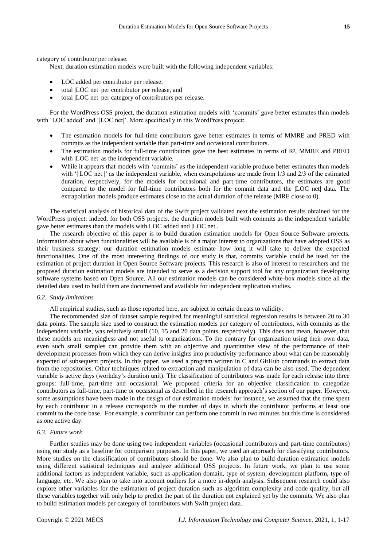category of contributor per release.

Next, duration estimation models were built with the following independent variables:

- LOC added per contributor per release,
- total |LOC net| per contributor per release, and
- total |LOC net| per category of contributors per release.

For the WordPress OSS project, the duration estimation models with 'commits' gave better estimates than models with 'LOC added' and '|LOC net|'. More specifically in this WordPress project:

- The estimation models for full-time contributors gave better estimates in terms of MMRE and PRED with commits as the independent variable than part-time and occasional contributors.
- The estimation models for full-time contributors gave the best estimates in terms of  $R<sup>2</sup>$ , MMRE and PRED with |LOC net| as the independent variable.
- While it appears that models with 'commits' as the independent variable produce better estimates than models with '| LOC net |' as the independent variable, when extrapolations are made from 1/3 and 2/3 of the estimated duration, respectively, for the models for occasional and part-time contributors, the estimates are good compared to the model for full-time contributors both for the commit data and the |LOC net| data. The extrapolation models produce estimates close to the actual duration of the release (MRE close to 0).

The statistical analysis of historical data of the Swift project validated next the estimation results obtained for the WordPress project: indeed, for both OSS projects, the duration models built with commits as the independent variable gave better estimates than the models with LOC added and |LOC net|.

The research objective of this paper is to build duration estimation models for Open Source Software projects. Information about when functionalities will be available is of a major interest to organizations that have adopted OSS as their business strategy: our duration estimation models estimate how long it will take to deliver the expected functionalities. One of the most interesting findings of our study is that, commits variable could be used for the estimation of project duration in Open Source Software projects. This research is also of interest to researchers and the proposed duration estimation models are intended to serve as a decision support tool for any organization developing software systems based on Open Source. All our estimation models can be considered white-box models since all the detailed data used to build them are documented and available for independent replication studies.

## *6.2. Study limitations*

All empirical studies, such as those reported here, are subject to certain threats to validity.

The recommended size of dataset sample required for meaningful statistical regression results is between 20 to 30 data points. The sample size used to construct the estimation models per category of contributors, with commits as the independent variable, was relatively small (10, 15 and 20 data points, respectively). This does not mean, however, that these models are meaningless and not useful to organizations. To the contrary for organization using their own data, even such small samples can provide them with an objective and quantitative view of the performance of their development processes from which they can derive insights into productivity performance about what can be reasonably expected of subsequent projects. In this paper, we used a program written in C and GitHub commands to extract data from the repositories. Other techniques related to extraction and manipulation of data can be also used. The dependent variable is active days (workday's duration unit). The classification of contributors was made for each release into three groups: full-time, part-time and occasional. We proposed criteria for an objective classification to categorize contributors as full-time, part-time or occasional as described in the research approach's section of our paper. However, some assumptions have been made in the design of our estimation models: for instance, we assumed that the time spent by each contributor in a release corresponds to the number of days in which the contributor performs at least one commit to the code base. For example, a contributor can perform one commit in two minutes but this time is considered as one active day.

### *6.3. Future work*

Further studies may be done using two independent variables (occasional contributors and part-time contributors) using our study as a baseline for comparison purposes. In this paper, we used an approach for classifying contributors. More studies on the classification of contributors should be done. We also plan to build duration estimation models using different statistical techniques and analyze additional OSS projects. In future work, we plan to use some additional factors as independent variable, such as application domain, type of system, development platform, type of language, etc. We also plan to take into account outliers for a more in-depth analysis. Subsequent research could also explore other variables for the estimation of project duration such as algorithm complexity and code quality, but all these variables together will only help to predict the part of the duration not explained yet by the commits. We also plan to build estimation models per category of contributors with Swift project data.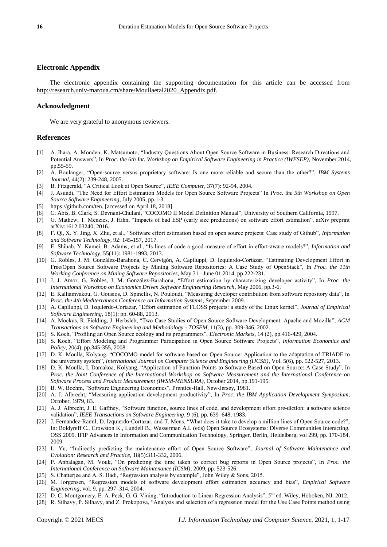# **Electronic Appendix**

The electronic appendix containing the supporting documentation for this article can be accessed from [http://research.univ-maroua.cm/share/Moullaetal2020\\_Appendix.pdf.](http://research.univ-maroua.cm/share/Moullaetal2020_Appendix.pdf) 

## **Acknowledgment**

We are very grateful to anonymous reviewers.

#### **References**

- [1] A. Ihara, A. Monden, K. Matsumoto, "Industry Questions About Open Source Software in Business: Research Directions and Potential Answers", In *Proc. the 6th Int. Workshop on Empirical Software Engineering in Practice (IWESEP)*, November 2014, pp.55-59.
- [2] A. Boulanger, "Open-source versus proprietary software: Is one more reliable and secure than the other?", *IBM Systems Journal*, 44(2): 239-248, 2005.
- [3] B. Fitzgerald, "A Critical Look at Open Source", *IEEE Computer*, 37(7): 92-94, 2004.
- [4] J. Asundi, "The Need for Effort Estimation Models for Open Source Software Projects" In *Proc. the 5th Workshop on Open Source Software Engineering*, July 2005, pp.1-3.
- [5] [https://github.com/ten,](https://github.com/ten) [accessed on April 18, 2018].
- [6] C. Abts, B. Clark, S. Devnani-Chulani, "COCOMO II Model Definition Manual", University of Southern California, 1997.
- [7] G. Mathew, T. Menzies, J. Hihn, "Impacts of bad ESP (early size predictions) on software effort estimation", arXiv preprint arXiv:1612.03240, 2016.
- [8] F. Qi, X. Y. Jing, X. Zhu, et al., "Software effort estimation based on open source projects: Case study of Github", *Information and Software Technology*, 92: 145-157, 2017.
- [9] E. Shihab, Y. Kamei, B. Adams, et al., "Is lines of code a good measure of effort in effort-aware models?", *Information and Software Technology*, 55(11): 1981-1993, 2013.
- [10] G. Robles, J. M. González-Barahona, C. Cervigón, A. Capiluppi, D. Izquierdo-Cortázar, "Estimating Development Effort in Free/Open Source Software Projects by Mining Software Repositories: A Case Study of OpenStack", In *Proc. the 11th Working Conference on Mining Software Repositories*, May 31 –June 01 2014, pp.222-231.
- [11] J. J. Amor, G. Robles, J. M. González-Barahona, "Effort estimation by characterizing developer activity", In *Proc. the International Workshop on Economics Driven Software Engineering Research*, May 2006, pp.3-6.
- [12] E. Kalliamvakou, G. Gousios, D. Spinellis, N. Pouloudi, "Measuring developer contribution from software repository data", In *Proc. the 4th Mediterranean Conference on Information Systems*, September 2009.
- [13] A. Capiluppi, D. Izquierdo-Cortazar, "Effort estimation of FLOSS projects: a study of the Linux kernel", *Journal of Empirical Software Engineering*, 18(1): pp. 60-88, 2013.
- [14] A. Mockus, R. Fielding, J. Herbsleb, "Two Case Studies of Open Source Software Development: Apache and Mozilla", *ACM Transactions on Software Engineering and Methodology - TOSEM*, 11(3), pp. 309-346, 2002.
- [15] S. Koch, "Profiling an Open Source ecology and its programmers", *Electronic Markets*, 14 (2), pp.416-429, 2004.
- [16] S. Koch, "Effort Modeling and Programmer Participation in Open Source Software Projects", *Information Economics and Policy*, 20(4), pp.345-355, 2008.
- [17] D. K. Moulla, Kolyang, "COCOMO model for software based on Open Source: Application to the adaptation of TRIADE to the university system", *International Journal on Computer Science and Engineering (IJCSE)*, Vol. 5(6), pp. 522-527, 2013.
- [18] D. K. Moulla, I. Damakoa, Kolyang, "Application of Function Points to Software Based on Open Source: A Case Study", In *Proc. the Joint Conference of the International Workshop on Software Measurement and the International Conference on Software Process and Product Measurement (IWSM-MENSURA)*, October 2014, pp.191-195.
- [19] B. W. Boehm, "Software Engineering Economics", Prentice-Hall, New-Jersey, 1981.
- [20] A. J. Albrecht, "Measuring application development productivity", In *Proc. the IBM Application Development Symposium*, October, 1979, 83.
- [21] A. J. Albrecht, J. E. Gaffney, "Software function, source lines of code, and development effort pre-diction: a software science validation", *IEEE Transactions on Software Engineering*, 9 (6), pp. 639–648, 1983.
- [22] J. Fernandez-Ramil, D. Izquierdo-Cortazar, and T. Mens, "What does it take to develop a million lines of Open Source code?", In: Boldyreff C., Crowston K., Lundell B., Wasserman A.I. (eds) Open Source Ecosystems: Diverse Communities Interacting. OSS 2009. IFIP Advances in Information and Communication Technology, Springer, Berlin, Heidelberg, vol 299, pp. 170-184, 2009.
- [23] L. Yu, "Indirectly predicting the maintenance effort of Open Source Software", *Journal of Software Maintenance and Evolution: Research and Practice*, 18(5):311-332, 2006.
- [24] P. Anbalagan, M. Vouk, "On predicting the time taken to correct bug reports in Open Source projects", In *Proc. the International Conference on Software Maintenance (ICSM)*, 2009, pp. 523-526.
- [25] S. Chatterjee and A. S. Hadi, "Regression analysis by example", John Wiley & Sons, 2015.
- [26] M. Jorgensen, "Regression models of software development effort estimation accuracy and bias", *Empirical Software Engineering*, vol. 9, pp. 297–314, 2004.
- [27] D. C. Montgomery, E. A. Peck, G. G. Vining, "Introduction to Linear Regression Analysis", 5<sup>th</sup> ed. Wiley, Hoboken, NJ. 2012.
- [28] R. Silhavy, P. Silhavy, and Z. Prokopova, "Analysis and selection of a regression model for the Use Case Points method using